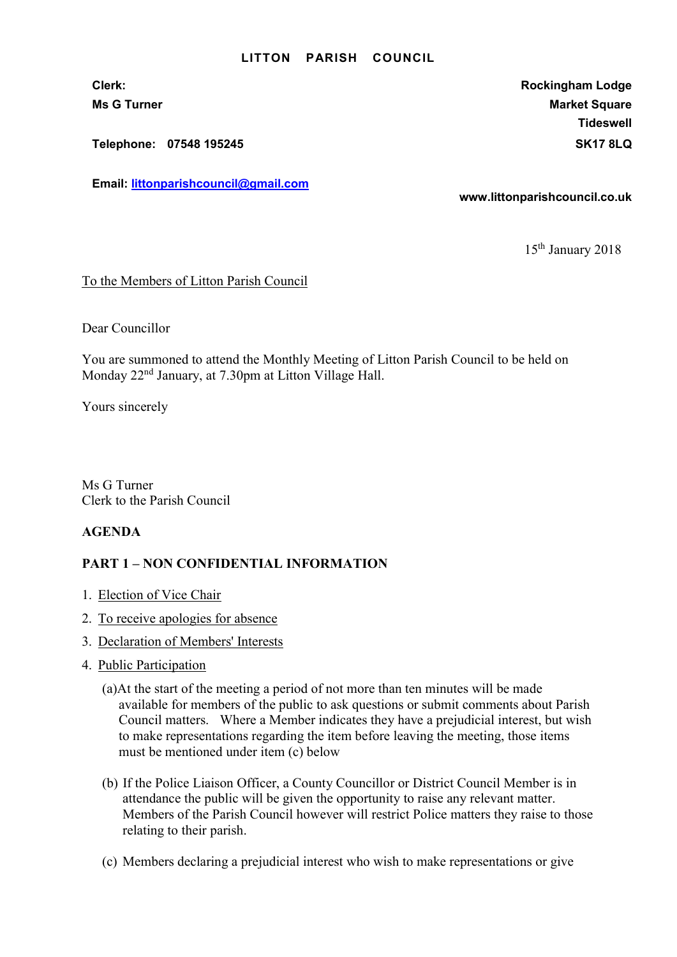## LITTON PARISH COUNCIL

Telephone: 07548 195245 SK17 8LQ

Email: littonparishcouncil@gmail.com

Clerk: Rockingham Lodge Ms G Turner Market Square Market Square Market Square Market Square **Tideswell** 

www.littonparishcouncil.co.uk

15th January 2018

To the Members of Litton Parish Council

Dear Councillor

You are summoned to attend the Monthly Meeting of Litton Parish Council to be held on Monday 22nd January, at 7.30pm at Litton Village Hall.

Yours sincerely

Ms G Turner Clerk to the Parish Council

## AGENDA

## PART 1 – NON CONFIDENTIAL INFORMATION

- 1. Election of Vice Chair
- 2. To receive apologies for absence
- 3. Declaration of Members' Interests
- 4. Public Participation
	- (a)At the start of the meeting a period of not more than ten minutes will be made available for members of the public to ask questions or submit comments about Parish Council matters. Where a Member indicates they have a prejudicial interest, but wish to make representations regarding the item before leaving the meeting, those items must be mentioned under item (c) below
	- (b) If the Police Liaison Officer, a County Councillor or District Council Member is in attendance the public will be given the opportunity to raise any relevant matter. Members of the Parish Council however will restrict Police matters they raise to those relating to their parish.
	- (c) Members declaring a prejudicial interest who wish to make representations or give